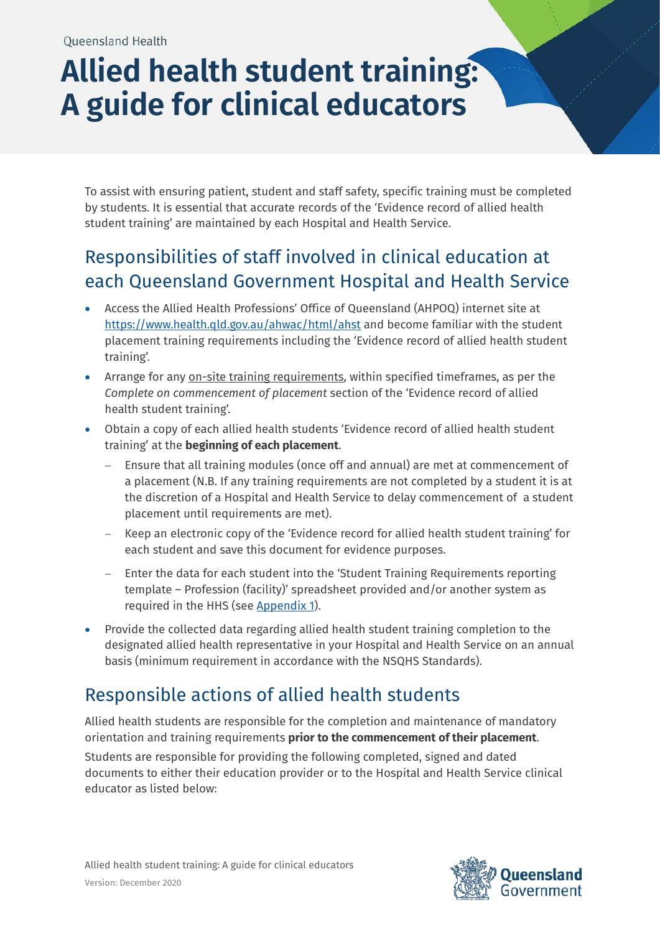# **Allied health student training: A guide for clinical educators**

To assist with ensuring patient, student and staff safety, specific training must be completed by students. It is essential that accurate records of the 'Evidence record of allied health student training' are maintained by each Hospital and Health Service.

## Responsibilities of staff involved in clinical education at each Queensland Government Hospital and Health Service

- Access the Allied Health Professions' Office of Queensland (AHPOQ) internet site at <https://www.health.qld.gov.au/ahwac/html/ahst> and become familiar with the student placement training requirements including the 'Evidence record of allied health student training'.
- Arrange for any on-site training requirements, within specified timeframes, as per the *Complete on commencement of placement* section of the 'Evidence record of allied health student training'.
- Obtain a copy of each allied health students 'Evidence record of allied health student training' at the **beginning of each placement**.
	- Ensure that all training modules (once off and annual) are met at commencement of a placement (N.B. If any training requirements are not completed by a student it is at the discretion of a Hospital and Health Service to delay commencement of a student placement until requirements are met).
	- − Keep an electronic copy of the 'Evidence record for allied health student training' for each student and save this document for evidence purposes.
	- − Enter the data for each student into the 'Student Training Requirements reporting template – Profession (facility)' spreadsheet provided and/or another system as required in the HHS (see [Appendix 1\)](#page-2-0).
- Provide the collected data regarding allied health student training completion to the designated allied health representative in your Hospital and Health Service on an annual basis (minimum requirement in accordance with the NSQHS Standards).

## Responsible actions of allied health students

Allied health students are responsible for the completion and maintenance of mandatory orientation and training requirements **prior to the commencement of their placement**. Students are responsible for providing the following completed, signed and dated documents to either their education provider or to the Hospital and Health Service clinical educator as listed below:

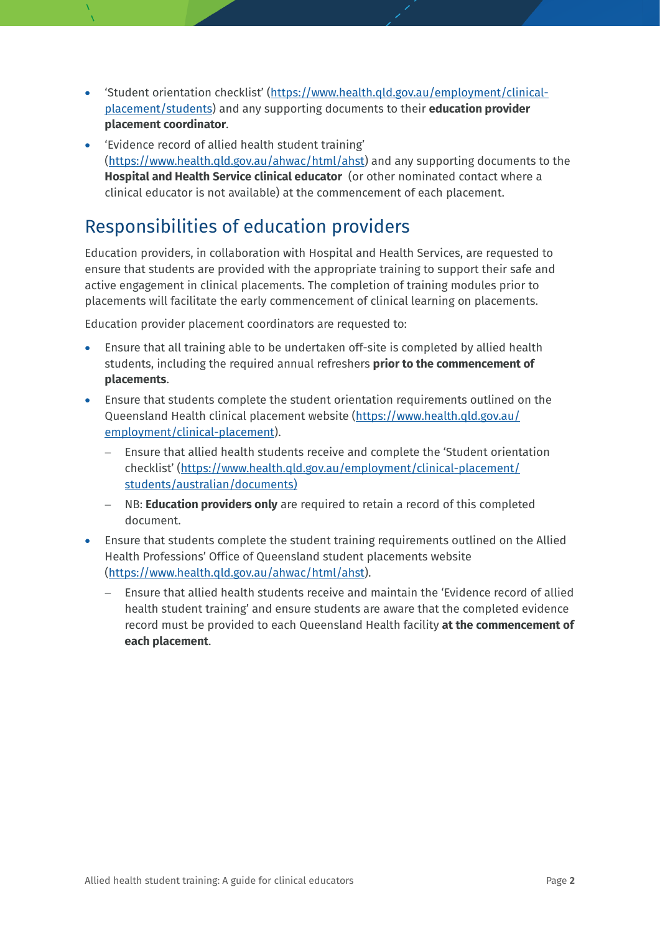- 'Student orientation checklist' [\(https://www.health.qld.gov.au/employment/clinical](https://www.health.qld.gov.au/employment/clinical-placement/students)[placement/students\)](https://www.health.qld.gov.au/employment/clinical-placement/students) and any supporting documents to their **education provider placement coordinator**.
- 'Evidence record of allied health student training' [\(https://www.health.qld.gov.au/ahwac/html/ahst\)](https://www.health.qld.gov.au/ahwac/html/ahst) and any supporting documents to the **Hospital and Health Service clinical educator** (or other nominated contact where a clinical educator is not available) at the commencement of each placement.

#### Responsibilities of education providers

Education providers, in collaboration with Hospital and Health Services, are requested to ensure that students are provided with the appropriate training to support their safe and active engagement in clinical placements. The completion of training modules prior to placements will facilitate the early commencement of clinical learning on placements.

Education provider placement coordinators are requested to:

- Ensure that all training able to be undertaken off-site is completed by allied health students, including the required annual refreshers **prior to the commencement of placements**.
- Ensure that students complete the student orientation requirements outlined on the Queensland Health clinical placement website [\(https://www.health.qld.gov.au/](https://www.health.qld.gov.au/employment/clinical-placement) [employment/clinical-placement\)](https://www.health.qld.gov.au/employment/clinical-placement).
	- Ensure that allied health students receive and complete the 'Student orientation checklist' [\(https://www.health.qld.gov.au/employment/clinical-placement/](https://www.health.qld.gov.au/employment/clinical-placement/students/australian/documents) [students/australian/documents\)](https://www.health.qld.gov.au/employment/clinical-placement/students/australian/documents)
	- − NB: **Education providers only** are required to retain a record of this completed document.
- Ensure that students complete the student training requirements outlined on the Allied Health Professions' Office of Queensland student placements website [\(https://www.health.qld.gov.au/ahwac/html/ahst\)](https://www.health.qld.gov.au/ahwac/html/ahst).
	- Ensure that allied health students receive and maintain the 'Evidence record of allied health student training' and ensure students are aware that the completed evidence record must be provided to each Queensland Health facility **at the commencement of each placement**.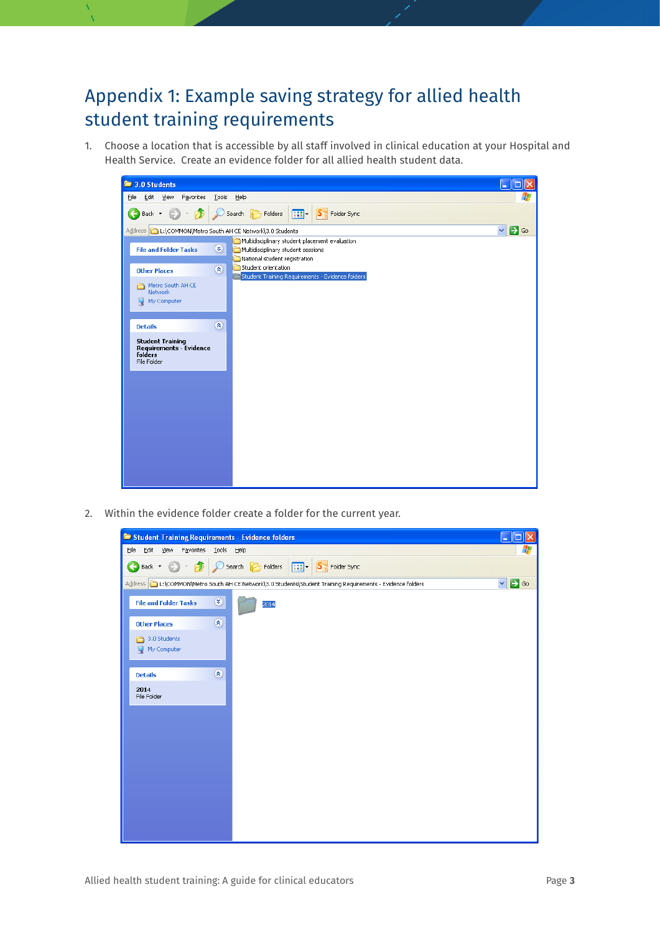## <span id="page-2-0"></span>Appendix 1: Example saving strategy for allied health student training requirements

1. Choose a location that is accessible by all staff involved in clinical education at your Hospital and Health Service. Create an evidence folder for all allied health student data.

| 3.0 Students                                                                        |                                                                                                                       |                                  |
|-------------------------------------------------------------------------------------|-----------------------------------------------------------------------------------------------------------------------|----------------------------------|
| Edit<br>View<br>Tools<br>Favorites<br>Eile                                          | Help                                                                                                                  |                                  |
| G<br>Рĥ<br>Back *                                                                   | $\boxed{11}$ - $\boxed{S}$ Folder Sync<br>Search <b>P</b> Folders                                                     |                                  |
| Address   L:\COMMON\Metro South AH CE Network\3.0 Students                          |                                                                                                                       | $\Rightarrow$ Go<br>$\checkmark$ |
| $\bullet$<br><b>File and Folder Tasks</b>                                           | Multidisciplinary student placement evaluation<br>Multidisciplinary student sessions<br>National student registration |                                  |
| $\bullet$<br><b>Other Places</b>                                                    | Student orientation<br>Student Training Requirements - Evidence folders                                               |                                  |
| Metro South AH CE<br>Network                                                        |                                                                                                                       |                                  |
| My Computer                                                                         |                                                                                                                       |                                  |
|                                                                                     |                                                                                                                       |                                  |
| $\bullet$<br><b>Details</b>                                                         |                                                                                                                       |                                  |
| <b>Student Training</b><br><b>Requirements - Evidence</b><br>folders<br>File Folder |                                                                                                                       |                                  |
|                                                                                     |                                                                                                                       |                                  |
|                                                                                     |                                                                                                                       |                                  |
|                                                                                     |                                                                                                                       |                                  |
|                                                                                     |                                                                                                                       |                                  |
|                                                                                     |                                                                                                                       |                                  |
|                                                                                     |                                                                                                                       |                                  |
|                                                                                     |                                                                                                                       |                                  |
|                                                                                     |                                                                                                                       |                                  |

2. Within the evidence folder create a folder for the current year.

|                                   | Student Training Requirements - Evidence folders                                                  | е                         |
|-----------------------------------|---------------------------------------------------------------------------------------------------|---------------------------|
| Edit<br>Eile<br>View<br>Favorites | <b>Tools</b><br>Help                                                                              |                           |
| Back $\star$<br>←<br>P            | $\boxed{11}$ - $\boxed{S}$ Folder Sync<br>Search <b>P</b> Folders                                 |                           |
|                                   | L:\COMMON\Metro South AH CE Network\3.0 Students\Student Training Requirements - Evidence folders | $\Box$ Go<br>$\checkmark$ |
| <b>File and Folder Tasks</b>      | $\pmb{\mathsf{g}}$<br>2014                                                                        |                           |
| <b>Other Places</b>               | $\pmb{\hat{\mathbf{x}}}$                                                                          |                           |
| 3.0 Students                      |                                                                                                   |                           |
| My Computer                       |                                                                                                   |                           |
|                                   |                                                                                                   |                           |
| <b>Details</b>                    | $\widehat{\mathbf{x}}$                                                                            |                           |
| 2014<br>File Folder               |                                                                                                   |                           |
|                                   |                                                                                                   |                           |
|                                   |                                                                                                   |                           |
|                                   |                                                                                                   |                           |
|                                   |                                                                                                   |                           |
|                                   |                                                                                                   |                           |
|                                   |                                                                                                   |                           |
|                                   |                                                                                                   |                           |
|                                   |                                                                                                   |                           |
|                                   |                                                                                                   |                           |
|                                   |                                                                                                   |                           |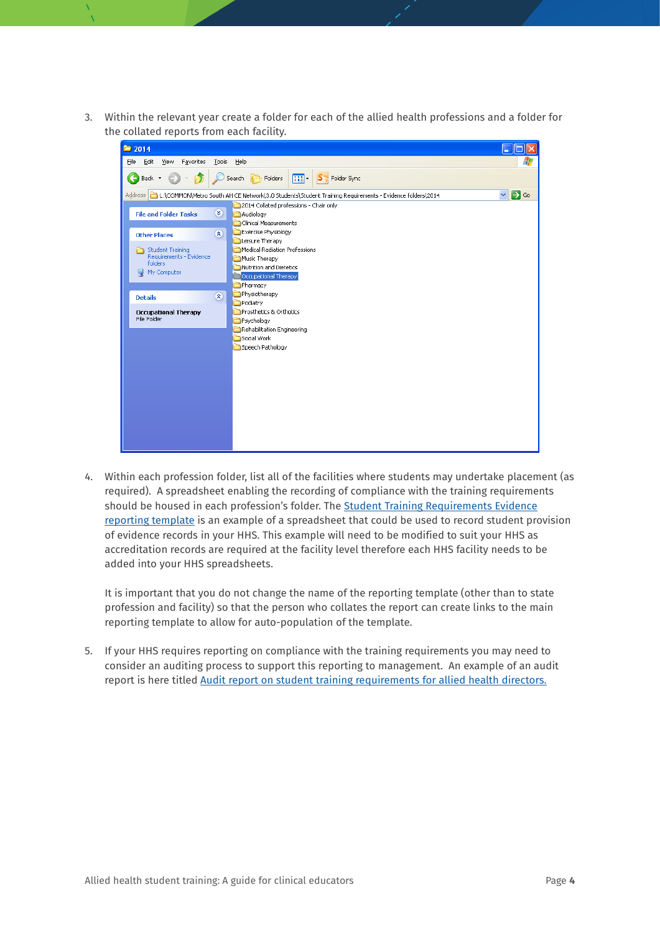3. Within the relevant year create a folder for each of the allied health professions and a folder for the collated reports from each facility.

| ■ 2014                                                                              |                                                                                                                    |                       |
|-------------------------------------------------------------------------------------|--------------------------------------------------------------------------------------------------------------------|-----------------------|
| Edit<br><b>View</b><br>Favorites<br>Tools<br>Eile                                   | Help                                                                                                               |                       |
| Back *<br>Đ                                                                         |                                                                                                                    |                       |
|                                                                                     | Address   그 L:\COMMON\Metro South AH CE Network\3.0 Students\Student Training Requirements - Evidence folders\2014 | $\Rightarrow$ Go<br>v |
| $\infty$<br><b>File and Folder Tasks</b>                                            | 2014 Collated professions - Chair only<br>Audiology<br>Clinical Measurements                                       |                       |
| $\bullet$<br><b>Other Places</b>                                                    | Exercise Physiology<br>Leisure Therapy                                                                             |                       |
| <b>Student Training</b><br>Requirements - Evidence<br><b>folders</b><br>My Computer | Medical Radiation Professions<br>Music Therapy<br>Nutrition and Dietetics<br><b>Occupational Therapy</b>           |                       |
|                                                                                     | Pharmacy                                                                                                           |                       |
| $\pmb{\hat{\mathbf{x}}}$<br><b>Details</b>                                          | Physiotherapy<br>Podiatry                                                                                          |                       |
| <b>Occupational Therapy</b><br>File Folder                                          | Prosthetics & Orthotics<br>Psychology<br>Rehabilitation Engineering                                                |                       |
|                                                                                     | Social Work                                                                                                        |                       |
|                                                                                     | Speech Pathology                                                                                                   |                       |
|                                                                                     |                                                                                                                    |                       |
|                                                                                     |                                                                                                                    |                       |
|                                                                                     |                                                                                                                    |                       |
|                                                                                     |                                                                                                                    |                       |
|                                                                                     |                                                                                                                    |                       |
|                                                                                     |                                                                                                                    |                       |
|                                                                                     |                                                                                                                    |                       |
|                                                                                     |                                                                                                                    |                       |

4. Within each profession folder, list all of the facilities where students may undertake placement (as required). A spreadsheet enabling the recording of compliance with the training requirements should be housed in each profession's folder. The [Student Training Requirements Evidence](https://qheps.health.qld.gov.au/alliedhealth/html/allied-health-student-training-requirements)  [reporting template](https://qheps.health.qld.gov.au/alliedhealth/html/allied-health-student-training-requirements) is an example of a spreadsheet that could be used to record student provision of evidence records in your HHS. This example will need to be modified to suit your HHS as accreditation records are required at the facility level therefore each HHS facility needs to be added into your HHS spreadsheets.

It is important that you do not change the name of the reporting template (other than to state profession and facility) so that the person who collates the report can create links to the main reporting template to allow for auto-population of the template.

5. If your HHS requires reporting on compliance with the training requirements you may need to consider an auditing process to support this reporting to management. An example of an audit report is here titled [Audit report on student training requirements for allied health directors.](https://qheps.health.qld.gov.au/alliedhealth/html/allied-health-student-training-requirements)